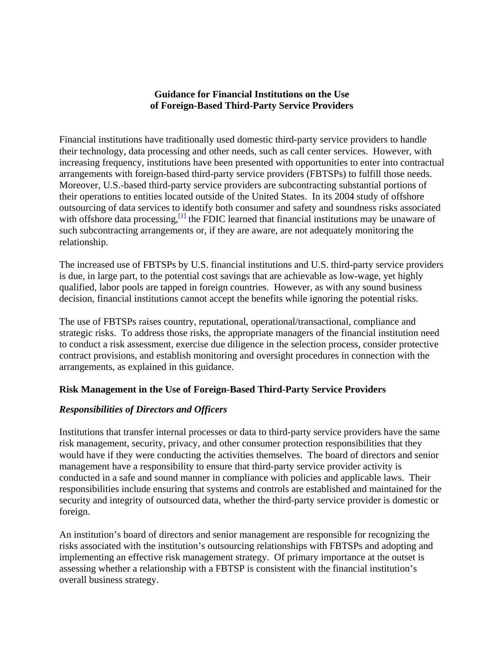### **Guidance for Financial Institutions on the Use of Foreign-Based Third-Party Service Providers**

Financial institutions have traditionally used domestic third-party service providers to handle their technology, data processing and other needs, such as call center services. However, with increasing frequency, institutions have been presented with opportunities to enter into contractual arrangements with foreign-based third-party service providers (FBTSPs) to fulfill those needs. Moreover, U.S.-based third-party service providers are subcontracting substantial portions of their operations to entities located outside of the United States. In its 2004 study of offshore outsourcing of data services to identify both consumer and safety and soundness risks associated with offshore data processing,  $\left[1\right]$  the FDIC learned that financial institutions may be unaware of such subcontracting arrangements or, if they are aware, are not adequately monitoring the relationship.

The increased use of FBTSPs by U.S. financial institutions and U.S. third-party service providers is due, in large part, to the potential cost savings that are achievable as low-wage, yet highly qualified, labor pools are tapped in foreign countries. However, as with any sound business decision, financial institutions cannot accept the benefits while ignoring the potential risks.

The use of FBTSPs raises country, reputational, operational/transactional, compliance and strategic risks. To address those risks, the appropriate managers of the financial institution need to conduct a risk assessment, exercise due diligence in the selection process, consider protective contract provisions, and establish monitoring and oversight procedures in connection with the arrangements, as explained in this guidance.

## **Risk Management in the Use of Foreign-Based Third-Party Service Providers**

## *Responsibilities of Directors and Officers*

Institutions that transfer internal processes or data to third-party service providers have the same risk management, security, privacy, and other consumer protection responsibilities that they would have if they were conducting the activities themselves. The board of directors and senior management have a responsibility to ensure that third-party service provider activity is conducted in a safe and sound manner in compliance with policies and applicable laws. Their responsibilities include ensuring that systems and controls are established and maintained for the security and integrity of outsourced data, whether the third-party service provider is domestic or foreign.

An institution's board of directors and senior management are responsible for recognizing the risks associated with the institution's outsourcing relationships with FBTSPs and adopting and implementing an effective risk management strategy. Of primary importance at the outset is assessing whether a relationship with a FBTSP is consistent with the financial institution's overall business strategy.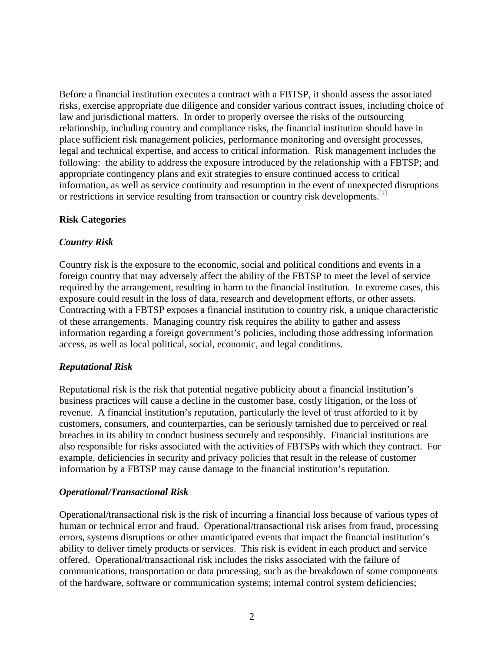Before a financial institution executes a contract with a FBTSP, it should assess the associated risks, exercise appropriate due diligence and consider various contract issues, including choice of law and jurisdictional matters. In order to properly oversee the risks of the outsourcing relationship, including country and compliance risks, the financial institution should have in place sufficient risk management policies, performance monitoring and oversight processes, legal and technical expertise, and access to critical information. Risk management includes the following: the ability to address the exposure introduced by the relationship with a FBTSP; and appropriate contingency plans and exit strategies to ensure continued access to critical information, as well as service continuity and resumption in the event of unexpected disruptions or restrictions in service resulting from transaction or country risk developments.<sup>[2]</sup>

#### **Risk Categories**

### *Country Risk*

Country risk is the exposure to the economic, social and political conditions and events in a foreign country that may adversely affect the ability of the FBTSP to meet the level of service required by the arrangement, resulting in harm to the financial institution. In extreme cases, this exposure could result in the loss of data, research and development efforts, or other assets. Contracting with a FBTSP exposes a financial institution to country risk, a unique characteristic of these arrangements. Managing country risk requires the ability to gather and assess information regarding a foreign government's policies, including those addressing information access, as well as local political, social, economic, and legal conditions.

## *Reputational Risk*

Reputational risk is the risk that potential negative publicity about a financial institution's business practices will cause a decline in the customer base, costly litigation, or the loss of revenue. A financial institution's reputation, particularly the level of trust afforded to it by customers, consumers, and counterparties, can be seriously tarnished due to perceived or real breaches in its ability to conduct business securely and responsibly. Financial institutions are also responsible for risks associated with the activities of FBTSPs with which they contract. For example, deficiencies in security and privacy policies that result in the release of customer information by a FBTSP may cause damage to the financial institution's reputation.

#### *Operational/Transactional Risk*

Operational/transactional risk is the risk of incurring a financial loss because of various types of human or technical error and fraud. Operational/transactional risk arises from fraud, processing errors, systems disruptions or other unanticipated events that impact the financial institution's ability to deliver timely products or services. This risk is evident in each product and service offered. Operational/transactional risk includes the risks associated with the failure of communications, transportation or data processing, such as the breakdown of some components of the hardware, software or communication systems; internal control system deficiencies;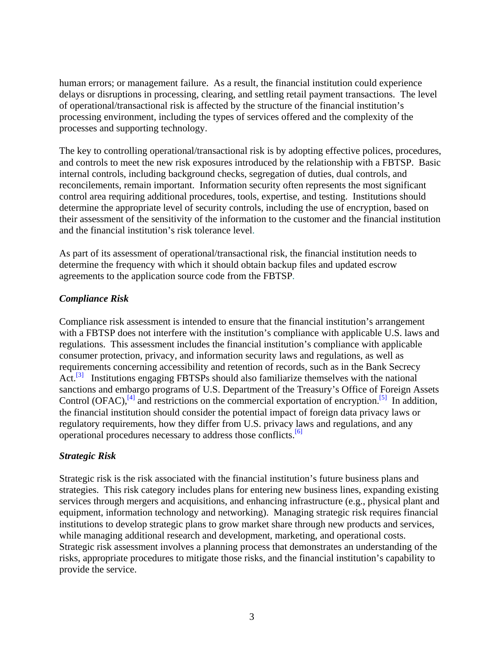human errors; or management failure. As a result, the financial institution could experience delays or disruptions in processing, clearing, and settling retail payment transactions. The level of operational/transactional risk is affected by the structure of the financial institution's processing environment, including the types of services offered and the complexity of the processes and supporting technology.

The key to controlling operational/transactional risk is by adopting effective polices, procedures, and controls to meet the new risk exposures introduced by the relationship with a FBTSP. Basic internal controls, including background checks, segregation of duties, dual controls, and reconcilements, remain important. Information security often represents the most significant control area requiring additional procedures, tools, expertise, and testing. Institutions should determine the appropriate level of security controls, including the use of encryption, based on their assessment of the sensitivity of the information to the customer and the financial institution and the financial institution's risk tolerance level.

As part of its assessment of operational/transactional risk, the financial institution needs to determine the frequency with which it should obtain backup files and updated escrow agreements to the application source code from the FBTSP.

# *Compliance Risk*

Compliance risk assessment is intended to ensure that the financial institution's arrangement with a FBTSP does not interfere with the institution's compliance with applicable U.S. laws and regulations. This assessment includes the financial institution's compliance with applicable consumer protection, privacy, and information security laws and regulations, as well as requirements concerning accessibility and retention of records, such as in the Bank Secrecy Act.<sup>[3]</sup> Institutions engaging FBTSPs should also familiarize themselves with the national sanctions and embargo programs of U.S. Department of the Treasury's Office of Foreign Assets Control (OFAC), $^{[4]}$  and restrictions on the commercial exportation of encryption.<sup>[5]</sup> In addition, the financial institution should consider the potential impact of foreign data privacy laws or regulatory requirements, how they differ from U.S. privacy laws and regulations, and any operational procedures necessary to address those conflicts.[6]

## *Strategic Risk*

Strategic risk is the risk associated with the financial institution's future business plans and strategies. This risk category includes plans for entering new business lines, expanding existing services through mergers and acquisitions, and enhancing infrastructure (e.g., physical plant and equipment, information technology and networking). Managing strategic risk requires financial institutions to develop strategic plans to grow market share through new products and services, while managing additional research and development, marketing, and operational costs. Strategic risk assessment involves a planning process that demonstrates an understanding of the risks, appropriate procedures to mitigate those risks, and the financial institution's capability to provide the service.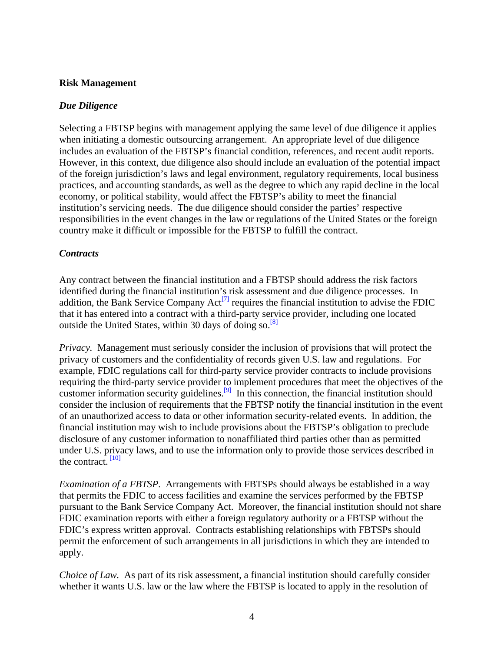### **Risk Management**

### *Due Diligence*

Selecting a FBTSP begins with management applying the same level of due diligence it applies when initiating a domestic outsourcing arrangement. An appropriate level of due diligence includes an evaluation of the FBTSP's financial condition, references, and recent audit reports. However, in this context, due diligence also should include an evaluation of the potential impact of the foreign jurisdiction's laws and legal environment, regulatory requirements, local business practices, and accounting standards, as well as the degree to which any rapid decline in the local economy, or political stability, would affect the FBTSP's ability to meet the financial institution's servicing needs. The due diligence should consider the parties' respective responsibilities in the event changes in the law or regulations of the United States or the foreign country make it difficult or impossible for the FBTSP to fulfill the contract.

### *Contracts*

Any contract between the financial institution and a FBTSP should address the risk factors identified during the financial institution's risk assessment and due diligence processes. In addition, the Bank Service Company Act<sup>[7]</sup> requires the financial institution to advise the FDIC that it has entered into a contract with a third-party service provider, including one located outside the United States, within 30 days of doing so. $[8]$ 

*Privacy.* Management must seriously consider the inclusion of provisions that will protect the privacy of customers and the confidentiality of records given U.S. law and regulations. For example, FDIC regulations call for third-party service provider contracts to include provisions requiring the third-party service provider to implement procedures that meet the objectives of the customer information security guidelines.<sup>[9]</sup> In this connection, the financial institution should consider the inclusion of requirements that the FBTSP notify the financial institution in the event of an unauthorized access to data or other information security-related events. In addition, the financial institution may wish to include provisions about the FBTSP's obligation to preclude disclosure of any customer information to nonaffiliated third parties other than as permitted under U.S. privacy laws, and to use the information only to provide those services described in the contract.<sup>[10]</sup>

*Examination of a FBTSP*. Arrangements with FBTSPs should always be established in a way that permits the FDIC to access facilities and examine the services performed by the FBTSP pursuant to the Bank Service Company Act. Moreover, the financial institution should not share FDIC examination reports with either a foreign regulatory authority or a FBTSP without the FDIC's express written approval. Contracts establishing relationships with FBTSPs should permit the enforcement of such arrangements in all jurisdictions in which they are intended to apply.

*Choice of Law.* As part of its risk assessment, a financial institution should carefully consider whether it wants U.S. law or the law where the FBTSP is located to apply in the resolution of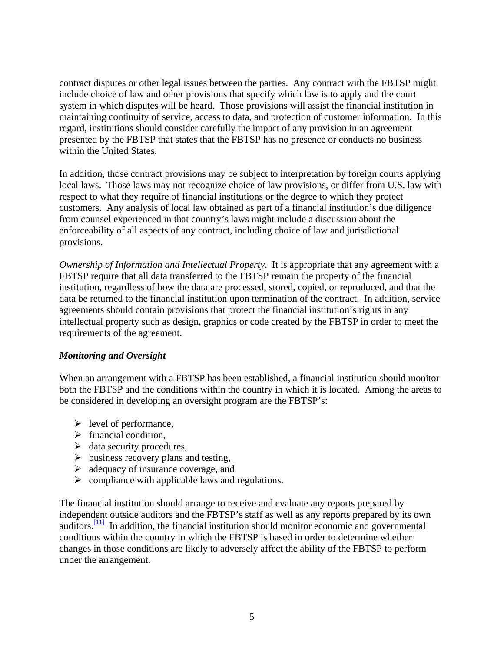contract disputes or other legal issues between the parties. Any contract with the FBTSP might include choice of law and other provisions that specify which law is to apply and the court system in which disputes will be heard. Those provisions will assist the financial institution in maintaining continuity of service, access to data, and protection of customer information. In this regard, institutions should consider carefully the impact of any provision in an agreement presented by the FBTSP that states that the FBTSP has no presence or conducts no business within the United States.

In addition, those contract provisions may be subject to interpretation by foreign courts applying local laws. Those laws may not recognize choice of law provisions, or differ from U.S. law with respect to what they require of financial institutions or the degree to which they protect customers. Any analysis of local law obtained as part of a financial institution's due diligence from counsel experienced in that country's laws might include a discussion about the enforceability of all aspects of any contract, including choice of law and jurisdictional provisions.

*Ownership of Information and Intellectual Property*. It is appropriate that any agreement with a FBTSP require that all data transferred to the FBTSP remain the property of the financial institution, regardless of how the data are processed, stored, copied, or reproduced, and that the data be returned to the financial institution upon termination of the contract. In addition, service agreements should contain provisions that protect the financial institution's rights in any intellectual property such as design, graphics or code created by the FBTSP in order to meet the requirements of the agreement.

## *Monitoring and Oversight*

When an arrangement with a FBTSP has been established, a financial institution should monitor both the FBTSP and the conditions within the country in which it is located. Among the areas to be considered in developing an oversight program are the FBTSP's:

- $\triangleright$  level of performance,
- $\triangleright$  financial condition,
- $\triangleright$  data security procedures,
- $\triangleright$  business recovery plans and testing,
- $\triangleright$  adequacy of insurance coverage, and
- $\triangleright$  compliance with applicable laws and regulations.

The financial institution should arrange to receive and evaluate any reports prepared by independent outside auditors and the FBTSP's staff as well as any reports prepared by its own auditors.<sup>[11]</sup> In addition, the financial institution should monitor economic and governmental conditions within the country in which the FBTSP is based in order to determine whether changes in those conditions are likely to adversely affect the ability of the FBTSP to perform under the arrangement.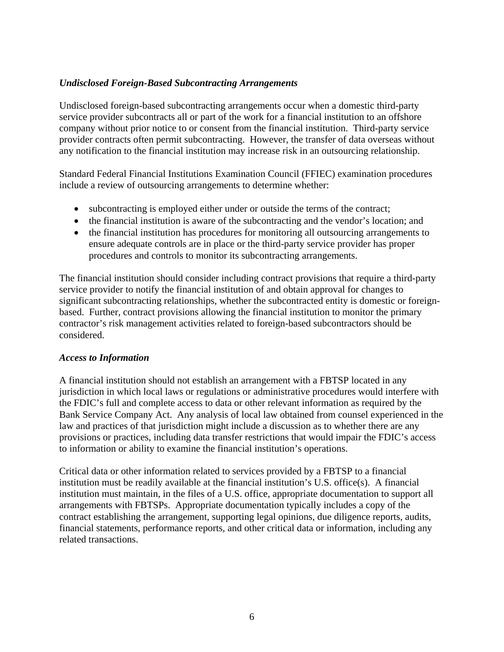### *Undisclosed Foreign-Based Subcontracting Arrangements*

Undisclosed foreign-based subcontracting arrangements occur when a domestic third-party service provider subcontracts all or part of the work for a financial institution to an offshore company without prior notice to or consent from the financial institution. Third-party service provider contracts often permit subcontracting. However, the transfer of data overseas without any notification to the financial institution may increase risk in an outsourcing relationship.

Standard Federal Financial Institutions Examination Council (FFIEC) examination procedures include a review of outsourcing arrangements to determine whether:

- subcontracting is employed either under or outside the terms of the contract;
- the financial institution is aware of the subcontracting and the vendor's location; and
- the financial institution has procedures for monitoring all outsourcing arrangements to ensure adequate controls are in place or the third-party service provider has proper procedures and controls to monitor its subcontracting arrangements.

The financial institution should consider including contract provisions that require a third-party service provider to notify the financial institution of and obtain approval for changes to significant subcontracting relationships, whether the subcontracted entity is domestic or foreignbased. Further, contract provisions allowing the financial institution to monitor the primary contractor's risk management activities related to foreign-based subcontractors should be considered.

#### *Access to Information*

A financial institution should not establish an arrangement with a FBTSP located in any jurisdiction in which local laws or regulations or administrative procedures would interfere with the FDIC's full and complete access to data or other relevant information as required by the Bank Service Company Act. Any analysis of local law obtained from counsel experienced in the law and practices of that jurisdiction might include a discussion as to whether there are any provisions or practices, including data transfer restrictions that would impair the FDIC's access to information or ability to examine the financial institution's operations.

Critical data or other information related to services provided by a FBTSP to a financial institution must be readily available at the financial institution's U.S. office(s). A financial institution must maintain, in the files of a U.S. office, appropriate documentation to support all arrangements with FBTSPs. Appropriate documentation typically includes a copy of the contract establishing the arrangement, supporting legal opinions, due diligence reports, audits, financial statements, performance reports, and other critical data or information, including any related transactions.